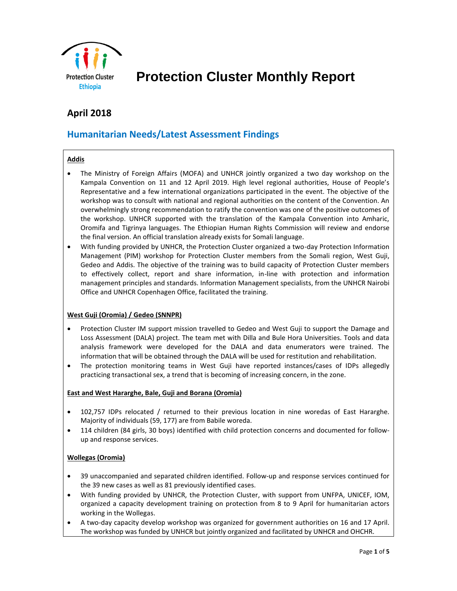

# **Protection Cluster Monthly Report**

# **April 2018**

# **Humanitarian Needs/Latest Assessment Findings**

#### **Addis**

- The Ministry of Foreign Affairs (MOFA) and UNHCR jointly organized a two day workshop on the Kampala Convention on 11 and 12 April 2019. High level regional authorities, House of People's Representative and a few international organizations participated in the event. The objective of the workshop was to consult with national and regional authorities on the content of the Convention. An overwhelmingly strong recommendation to ratify the convention was one of the positive outcomes of the workshop. UNHCR supported with the translation of the Kampala Convention into Amharic, Oromifa and Tigrinya languages. The Ethiopian Human Rights Commission will review and endorse the final version. An official translation already exists for Somali language.
- With funding provided by UNHCR, the Protection Cluster organized a two-day Protection Information Management (PIM) workshop for Protection Cluster members from the Somali region, West Guji, Gedeo and Addis. The objective of the training was to build capacity of Protection Cluster members to effectively collect, report and share information, in-line with protection and information management principles and standards. Information Management specialists, from the UNHCR Nairobi Office and UNHCR Copenhagen Office, facilitated the training.

#### **West Guji (Oromia) / Gedeo (SNNPR)**

- Protection Cluster IM support mission travelled to Gedeo and West Guji to support the Damage and Loss Assessment (DALA) project. The team met with Dilla and Bule Hora Universities. Tools and data analysis framework were developed for the DALA and data enumerators were trained. The information that will be obtained through the DALA will be used for restitution and rehabilitation.
- The protection monitoring teams in West Guji have reported instances/cases of IDPs allegedly practicing transactional sex, a trend that is becoming of increasing concern, in the zone.

#### **East and West Hararghe, Bale, Guji and Borana (Oromia)**

- 102,757 IDPs relocated / returned to their previous location in nine woredas of East Hararghe. Majority of individuals (59, 177) are from Babile woreda.
- 114 children (84 girls, 30 boys) identified with child protection concerns and documented for followup and response services.

#### **Wollegas (Oromia)**

- 39 unaccompanied and separated children identified. Follow-up and response services continued for the 39 new cases as well as 81 previously identified cases.
- With funding provided by UNHCR, the Protection Cluster, with support from UNFPA, UNICEF, IOM, organized a capacity development training on protection from 8 to 9 April for humanitarian actors working in the Wollegas.
- A two-day capacity develop workshop was organized for government authorities on 16 and 17 April. The workshop was funded by UNHCR but jointly organized and facilitated by UNHCR and OHCHR.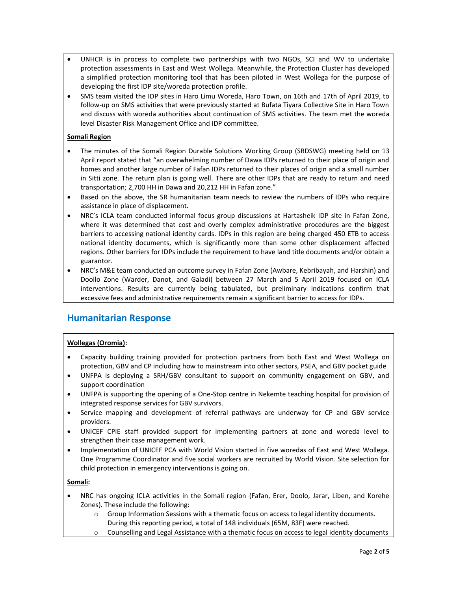- UNHCR is in process to complete two partnerships with two NGOs, SCI and WV to undertake protection assessments in East and West Wollega. Meanwhile, the Protection Cluster has developed a simplified protection monitoring tool that has been piloted in West Wollega for the purpose of developing the first IDP site/woreda protection profile.
- SMS team visited the IDP sites in Haro Limu Woreda, Haro Town, on 16th and 17th of April 2019, to follow-up on SMS activities that were previously started at Bufata Tiyara Collective Site in Haro Town and discuss with woreda authorities about continuation of SMS activities. The team met the woreda level Disaster Risk Management Office and IDP committee.

#### **Somali Region**

- The minutes of the Somali Region Durable Solutions Working Group (SRDSWG) meeting held on 13 April report stated that "an overwhelming number of Dawa IDPs returned to their place of origin and homes and another large number of Fafan IDPs returned to their places of origin and a small number in Sitti zone. The return plan is going well. There are other IDPs that are ready to return and need transportation; 2,700 HH in Dawa and 20,212 HH in Fafan zone."
- Based on the above, the SR humanitarian team needs to review the numbers of IDPs who require assistance in place of displacement.
- NRC's ICLA team conducted informal focus group discussions at Hartasheik IDP site in Fafan Zone, where it was determined that cost and overly complex administrative procedures are the biggest barriers to accessing national identity cards. IDPs in this region are being charged 450 ETB to access national identity documents, which is significantly more than some other displacement affected regions. Other barriers for IDPs include the requirement to have land title documents and/or obtain a guarantor.
- NRC's M&E team conducted an outcome survey in Fafan Zone (Awbare, Kebribayah, and Harshin) and Doollo Zone (Warder, Danot, and Galadi) between 27 March and 5 April 2019 focused on ICLA interventions. Results are currently being tabulated, but preliminary indications confirm that excessive fees and administrative requirements remain a significant barrier to access for IDPs.

## **Humanitarian Response**

#### **Wollegas (Oromia):**

- Capacity building training provided for protection partners from both East and West Wollega on protection, GBV and CP including how to mainstream into other sectors, PSEA, and GBV pocket guide
- UNFPA is deploying a SRH/GBV consultant to support on community engagement on GBV, and support coordination
- UNFPA is supporting the opening of a One-Stop centre in Nekemte teaching hospital for provision of integrated response services for GBV survivors.
- Service mapping and development of referral pathways are underway for CP and GBV service providers.
- UNICEF CPiE staff provided support for implementing partners at zone and woreda level to strengthen their case management work.
- Implementation of UNICEF PCA with World Vision started in five woredas of East and West Wollega. One Programme Coordinator and five social workers are recruited by World Vision. Site selection for child protection in emergency interventions is going on.

#### **Somali:**

- NRC has ongoing ICLA activities in the Somali region (Fafan, Erer, Doolo, Jarar, Liben, and Korehe Zones). These include the following:
	- $\circ$  Group Information Sessions with a thematic focus on access to legal identity documents. During this reporting period, a total of 148 individuals (65M, 83F) were reached.
	- $\circ$  Counselling and Legal Assistance with a thematic focus on access to legal identity documents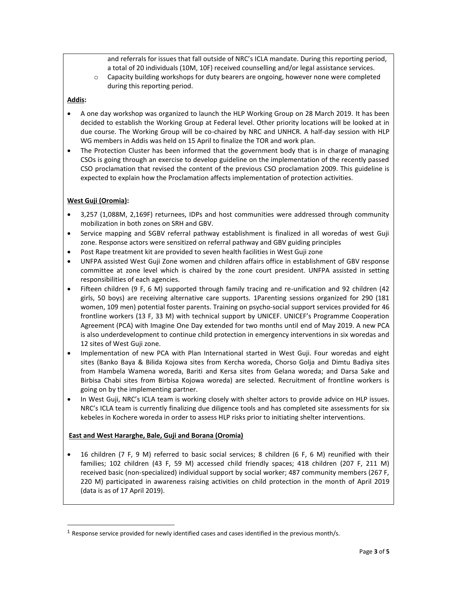and referrals for issues that fall outside of NRC's ICLA mandate. During this reporting period, a total of 20 individuals (10M, 10F) received counselling and/or legal assistance services.

o Capacity building workshops for duty bearers are ongoing, however none were completed during this reporting period.

#### **Addis:**

l

- A one day workshop was organized to launch the HLP Working Group on 28 March 2019. It has been decided to establish the Working Group at Federal level. Other priority locations will be looked at in due course. The Working Group will be co-chaired by NRC and UNHCR. A half-day session with HLP WG members in Addis was held on 15 April to finalize the TOR and work plan.
- The Protection Cluster has been informed that the government body that is in charge of managing CSOs is going through an exercise to develop guideline on the implementation of the recently passed CSO proclamation that revised the content of the previous CSO proclamation 2009. This guideline is expected to explain how the Proclamation affects implementation of protection activities.

#### **West Guji (Oromia):**

- 3,257 (1,088M, 2,169F) returnees, IDPs and host communities were addressed through community mobilization in both zones on SRH and GBV.
- Service mapping and SGBV referral pathway establishment is finalized in all woredas of west Guji zone. Response actors were sensitized on referral pathway and GBV guiding principles
- Post Rape treatment kit are provided to seven health facilities in West Guji zone
- UNFPA assisted West Guji Zone women and children affairs office in establishment of GBV response committee at zone level which is chaired by the zone court president. UNFPA assisted in setting responsibilities of each agencies.
- Fifteen children (9 F, 6 M) supported through family tracing and re-unification and 92 children (42 girls, 50 boys) are receiving alternative care supports. 1Parenting sessions organized for 290 (181 women, 109 men) potential foster parents. Training on psycho-social support services provided for 46 frontline workers (13 F, 33 M) with technical support by UNICEF. UNICEF's Programme Cooperation Agreement (PCA) with Imagine One Day extended for two months until end of May 2019. A new PCA is also underdevelopment to continue child protection in emergency interventions in six woredas and 12 sites of West Guji zone.
- Implementation of new PCA with Plan International started in West Guji. Four woredas and eight sites (Banko Baya & Bilida Kojowa sites from Kercha woreda, Chorso Golja and Dimtu Badiya sites from Hambela Wamena woreda, Bariti and Kersa sites from Gelana woreda; and Darsa Sake and Birbisa Chabi sites from Birbisa Kojowa woreda) are selected. Recruitment of frontline workers is going on by the implementing partner.
- In West Guji, NRC's ICLA team is working closely with shelter actors to provide advice on HLP issues. NRC's ICLA team is currently finalizing due diligence tools and has completed site assessments for six kebeles in Kochere woreda in order to assess HLP risks prior to initiating shelter interventions.

#### **East and West Hararghe, Bale, Guji and Borana (Oromia)**

 16 children (7 F, 9 M) referred to basic social services; 8 children (6 F, 6 M) reunified with their families; 102 children (43 F, 59 M) accessed child friendly spaces; 418 children (207 F, 211 M) received basic (non-specialized) individual support by social worker; 487 community members (267 F, 220 M) participated in awareness raising activities on child protection in the month of April 2019 (data is as of 17 April 2019).

<sup>&</sup>lt;sup>1</sup> Response service provided for newly identified cases and cases identified in the previous month/s.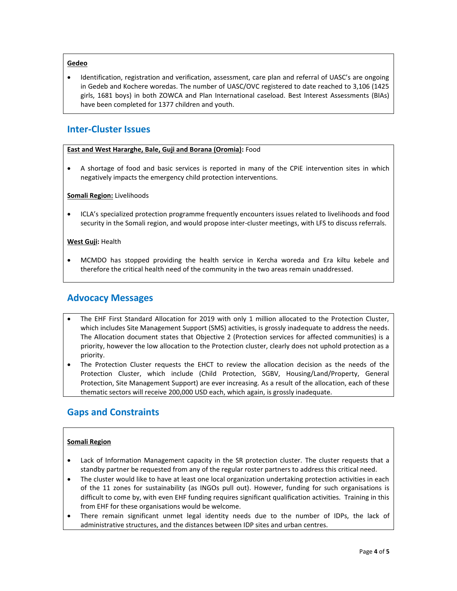#### **Gedeo**

• Identification, registration and verification, assessment, care plan and referral of UASC's are ongoing in Gedeb and Kochere woredas. The number of UASC/OVC registered to date reached to 3,106 (1425 girls, 1681 boys) in both ZOWCA and Plan International caseload. Best Interest Assessments (BIAs) have been completed for 1377 children and youth.

### **Inter-Cluster Issues**

#### **East and West Hararghe, Bale, Guji and Borana (Oromia):** Food

 A shortage of food and basic services is reported in many of the CPiE intervention sites in which negatively impacts the emergency child protection interventions.

#### **Somali Region:** Livelihoods

 ICLA's specialized protection programme frequently encounters issues related to livelihoods and food security in the Somali region, and would propose inter-cluster meetings, with LFS to discuss referrals.

#### **West Guji:** Health

 MCMDO has stopped providing the health service in Kercha woreda and Era kiltu kebele and therefore the critical health need of the community in the two areas remain unaddressed.

### **Advocacy Messages**

- The EHF First Standard Allocation for 2019 with only 1 million allocated to the Protection Cluster, which includes Site Management Support (SMS) activities, is grossly inadequate to address the needs. The Allocation document states that Objective 2 (Protection services for affected communities) is a priority, however the low allocation to the Protection cluster, clearly does not uphold protection as a priority.
- The Protection Cluster requests the EHCT to review the allocation decision as the needs of the Protection Cluster, which include (Child Protection, SGBV, Housing/Land/Property, General Protection, Site Management Support) are ever increasing. As a result of the allocation, each of these thematic sectors will receive 200,000 USD each, which again, is grossly inadequate.

## **Gaps and Constraints**

#### **Somali Region**

- Lack of Information Management capacity in the SR protection cluster. The cluster requests that a standby partner be requested from any of the regular roster partners to address this critical need.
- The cluster would like to have at least one local organization undertaking protection activities in each of the 11 zones for sustainability (as INGOs pull out). However, funding for such organisations is difficult to come by, with even EHF funding requires significant qualification activities. Training in this from EHF for these organisations would be welcome.
- There remain significant unmet legal identity needs due to the number of IDPs, the lack of administrative structures, and the distances between IDP sites and urban centres.